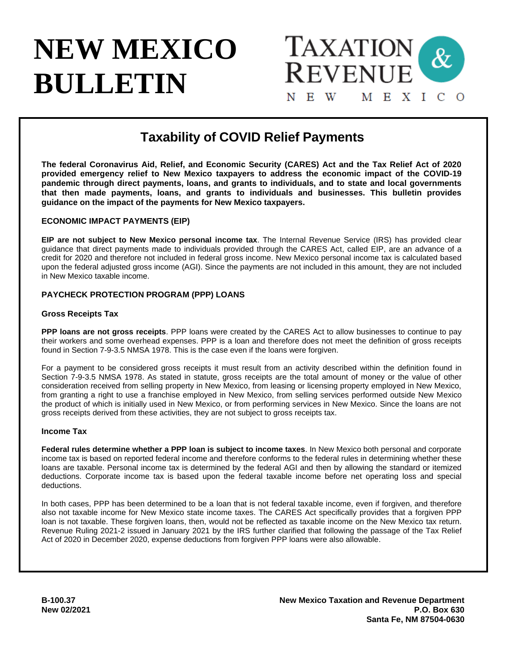# **NEW MEXICO BULLETIN**



# **Taxability of COVID Relief Payments**

**The federal Coronavirus Aid, Relief, and Economic Security (CARES) Act and the Tax Relief Act of 2020 provided emergency relief to New Mexico taxpayers to address the economic impact of the COVID-19 pandemic through direct payments, loans, and grants to individuals, and to state and local governments that then made payments, loans, and grants to individuals and businesses. This bulletin provides guidance on the impact of the payments for New Mexico taxpayers.**

### **ECONOMIC IMPACT PAYMENTS (EIP)**

**EIP are not subject to New Mexico personal income tax**. The Internal Revenue Service (IRS) has provided clear guidance that direct payments made to individuals provided through the CARES Act, called EIP, are an advance of a credit for 2020 and therefore not included in federal gross income. New Mexico personal income tax is calculated based upon the federal adjusted gross income (AGI). Since the payments are not included in this amount, they are not included in New Mexico taxable income.

### **PAYCHECK PROTECTION PROGRAM (PPP) LOANS**

### **Gross Receipts Tax**

**PPP loans are not gross receipts**. PPP loans were created by the CARES Act to allow businesses to continue to pay their workers and some overhead expenses. PPP is a loan and therefore does not meet the definition of gross receipts found in Section 7-9-3.5 NMSA 1978. This is the case even if the loans were forgiven.

For a payment to be considered gross receipts it must result from an activity described within the definition found in Section 7-9-3.5 NMSA 1978. As stated in statute, gross receipts are the total amount of money or the value of other consideration received from selling property in New Mexico, from leasing or licensing property employed in New Mexico, from granting a right to use a franchise employed in New Mexico, from selling services performed outside New Mexico the product of which is initially used in New Mexico, or from performing services in New Mexico. Since the loans are not gross receipts derived from these activities, they are not subject to gross receipts tax.

### **Income Tax**

**Federal rules determine whether a PPP loan is subject to income taxes**. In New Mexico both personal and corporate income tax is based on reported federal income and therefore conforms to the federal rules in determining whether these loans are taxable. Personal income tax is determined by the federal AGI and then by allowing the standard or itemized deductions. Corporate income tax is based upon the federal taxable income before net operating loss and special deductions.

In both cases, PPP has been determined to be a loan that is not federal taxable income, even if forgiven, and therefore also not taxable income for New Mexico state income taxes. The CARES Act specifically provides that a forgiven PPP loan is not taxable. These forgiven loans, then, would not be reflected as taxable income on the New Mexico tax return. Revenue Ruling 2021-2 issued in January 2021 by the IRS further clarified that following the passage of the Tax Relief Act of 2020 in December 2020, expense deductions from forgiven PPP loans were also allowable.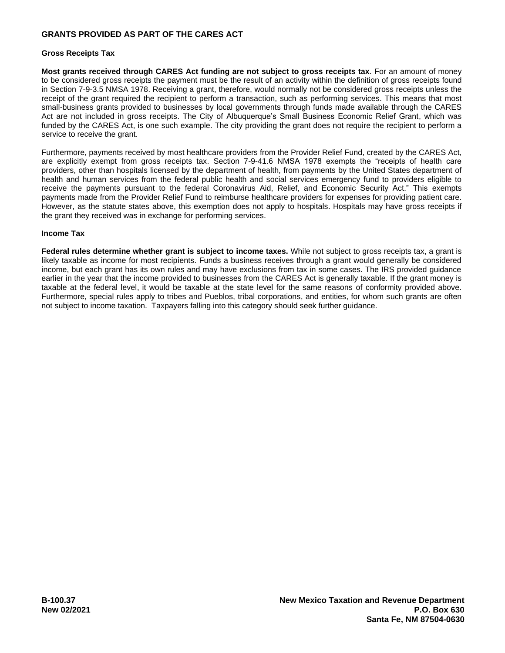### **GRANTS PROVIDED AS PART OF THE CARES ACT**

#### **Gross Receipts Tax**

**Most grants received through CARES Act funding are not subject to gross receipts tax**. For an amount of money to be considered gross receipts the payment must be the result of an activity within the definition of gross receipts found in Section 7-9-3.5 NMSA 1978. Receiving a grant, therefore, would normally not be considered gross receipts unless the receipt of the grant required the recipient to perform a transaction, such as performing services. This means that most small-business grants provided to businesses by local governments through funds made available through the CARES Act are not included in gross receipts. The City of Albuquerque's Small Business Economic Relief Grant, which was funded by the CARES Act, is one such example. The city providing the grant does not require the recipient to perform a service to receive the grant.

Furthermore, payments received by most healthcare providers from the Provider Relief Fund, created by the CARES Act, are explicitly exempt from gross receipts tax. Section 7-9-41.6 NMSA 1978 exempts the "receipts of health care providers, other than hospitals licensed by the department of health, from payments by the United States department of health and human services from the federal public health and social services emergency fund to providers eligible to receive the payments pursuant to the federal Coronavirus Aid, Relief, and Economic Security Act." This exempts payments made from the Provider Relief Fund to reimburse healthcare providers for expenses for providing patient care. However, as the statute states above, this exemption does not apply to hospitals. Hospitals may have gross receipts if the grant they received was in exchange for performing services.

### **Income Tax**

**Federal rules determine whether grant is subject to income taxes.** While not subject to gross receipts tax, a grant is likely taxable as income for most recipients. Funds a business receives through a grant would generally be considered income, but each grant has its own rules and may have exclusions from tax in some cases. The IRS provided guidance earlier in the year that the income provided to businesses from the CARES Act is generally taxable. If the grant money is taxable at the federal level, it would be taxable at the state level for the same reasons of conformity provided above. Furthermore, special rules apply to tribes and Pueblos, tribal corporations, and entities, for whom such grants are often not subject to income taxation. Taxpayers falling into this category should seek further guidance.